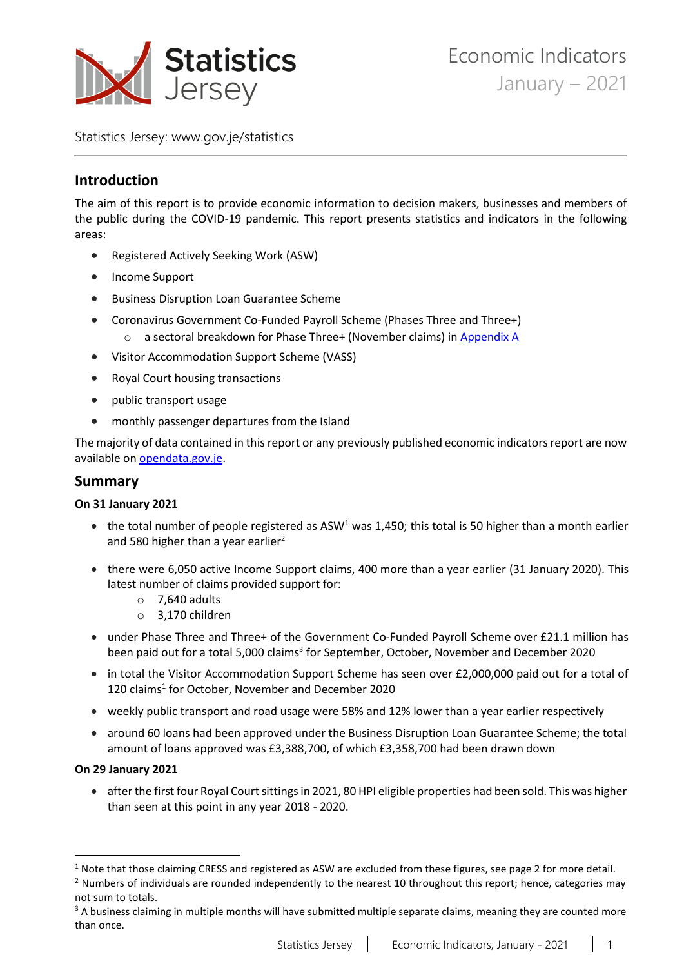

Statistics Jersey: [www.gov.je/statistics](https://www.gov.je/statistics)

# **Introduction**

The aim of this report is to provide economic information to decision makers, businesses and members of the public during the COVID-19 pandemic. This report presents statistics and indicators in the following areas:

- Registered Actively Seeking Work (ASW)
- Income Support
- Business Disruption Loan Guarantee Scheme
- Coronavirus Government Co-Funded Payroll Scheme (Phases Three and Three+)
	- o a sectoral breakdown for Phase Three+ (November claims) i[n Appendix A](#page-11-0)
- Visitor Accommodation Support Scheme (VASS)
- Royal Court housing transactions
- public transport usage
- monthly passenger departures from the Island

The majority of data contained in this report or any previously published economic indicators report are now available on [opendata.gov.je.](https://opendata.gov.je/)

## **Summary**

### **On 31 January 2021**

- the total number of people registered as ASW<sup>1</sup> was 1,450; this total is 50 higher than a month earlier and 580 higher than a year earlier<sup>2</sup>
- there were 6,050 active Income Support claims, 400 more than a year earlier (31 January 2020). This latest number of claims provided support for:
	- $\circ$  7,640 adults
	- o 3,170 children
- under Phase Three and Three+ of the Government Co-Funded Payroll Scheme over £21.1 million has been paid out for a total 5,000 claims<sup>3</sup> for September, October, November and December 2020
- in total the Visitor Accommodation Support Scheme has seen over £2,000,000 paid out for a total of 120 claims<sup>1</sup> for October, November and December 2020
- weekly public transport and road usage were 58% and 12% lower than a year earlier respectively
- around 60 loans had been approved under the Business Disruption Loan Guarantee Scheme; the total amount of loans approved was £3,388,700, of which £3,358,700 had been drawn down

### **On 29 January 2021**

• after the first four Royal Court sittings in 2021, 80 HPI eligible properties had been sold. This was higher than seen at this point in any year 2018 - 2020.

 $1$  Note that those claiming CRESS and registered as ASW are excluded from these figures, see page 2 for more detail.

 $<sup>2</sup>$  Numbers of individuals are rounded independently to the nearest 10 throughout this report; hence, categories may</sup> not sum to totals.

<sup>&</sup>lt;sup>3</sup> A business claiming in multiple months will have submitted multiple separate claims, meaning they are counted more than once.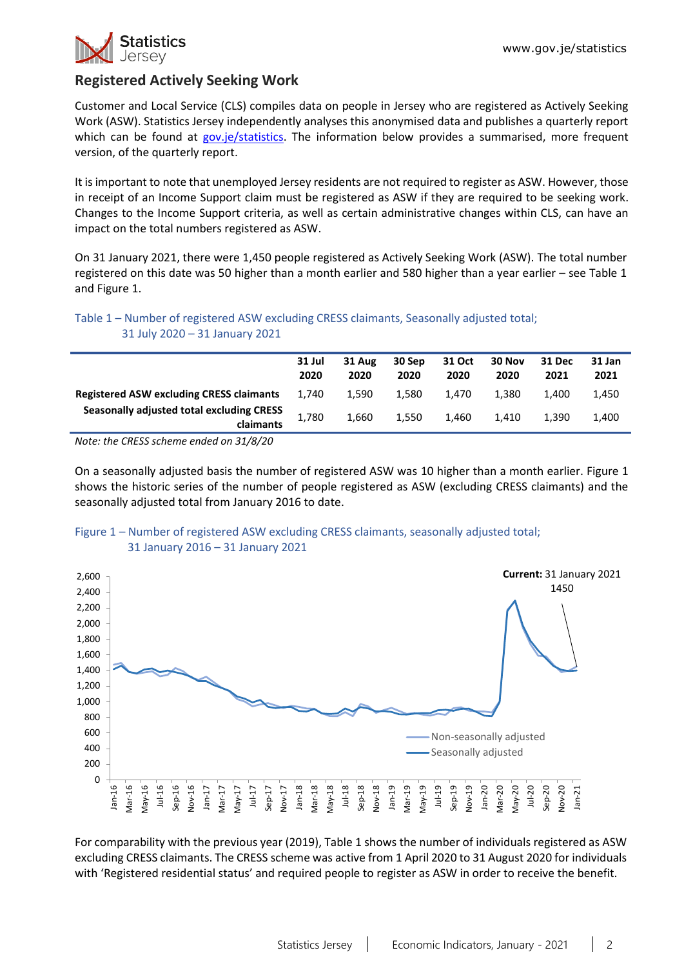

# **Registered Actively Seeking Work**

Customer and Local Service (CLS) compiles data on people in Jersey who are registered as Actively Seeking Work (ASW). Statistics Jersey independently analyses this anonymised data and publishes a quarterly report which can be found at [gov.je/statistics.](https://www.gov.je/Government/JerseyInFigures/EmploymentEarnings/Pages/RegisteredUnemployment.aspx) The information below provides a summarised, more frequent version, of the quarterly report.

It is important to note that unemployed Jersey residents are not required to register as ASW. However, those in receipt of an Income Support claim must be registered as ASW if they are required to be seeking work. Changes to the Income Support criteria, as well as certain administrative changes within CLS, can have an impact on the total numbers registered as ASW.

On 31 January 2021, there were 1,450 people registered as Actively Seeking Work (ASW). The total number registered on this date was 50 higher than a month earlier and 580 higher than a year earlier – see Table 1 and Figure 1.

Table 1 – Number of registered ASW excluding CRESS claimants, Seasonally adjusted total; 31 July 2020 – 31 January 2021

|                                                               | 31 Jul<br>2020 | 31 Aug<br>2020 | 30 Sep<br>2020 | 31 Oct<br>2020 | 30 Nov<br>2020 | 31 Dec<br>2021 | 31 Jan<br>2021 |
|---------------------------------------------------------------|----------------|----------------|----------------|----------------|----------------|----------------|----------------|
| <b>Registered ASW excluding CRESS claimants</b>               | 1.740          | 1.590          | 1.580          | 1.470          | 1.380          | 1.400          | 1,450          |
| <b>Seasonally adjusted total excluding CRESS</b><br>claimants | 1,780          | 1.660          | 1.550          | 1,460          | 1.410          | 1.390          | 1.400          |

*Note: the CRESS scheme ended on 31/8/20*

On a seasonally adjusted basis the number of registered ASW was 10 higher than a month earlier. Figure 1 shows the historic series of the number of people registered as ASW (excluding CRESS claimants) and the seasonally adjusted total from January 2016 to date.



#### Figure 1 – Number of registered ASW excluding CRESS claimants, seasonally adjusted total; 31 January 2016 – 31 January 2021

For comparability with the previous year (2019), Table 1 shows the number of individuals registered as ASW excluding CRESS claimants. The CRESS scheme was active from 1 April 2020 to 31 August 2020 for individuals with 'Registered residential status' and required people to register as ASW in order to receive the benefit.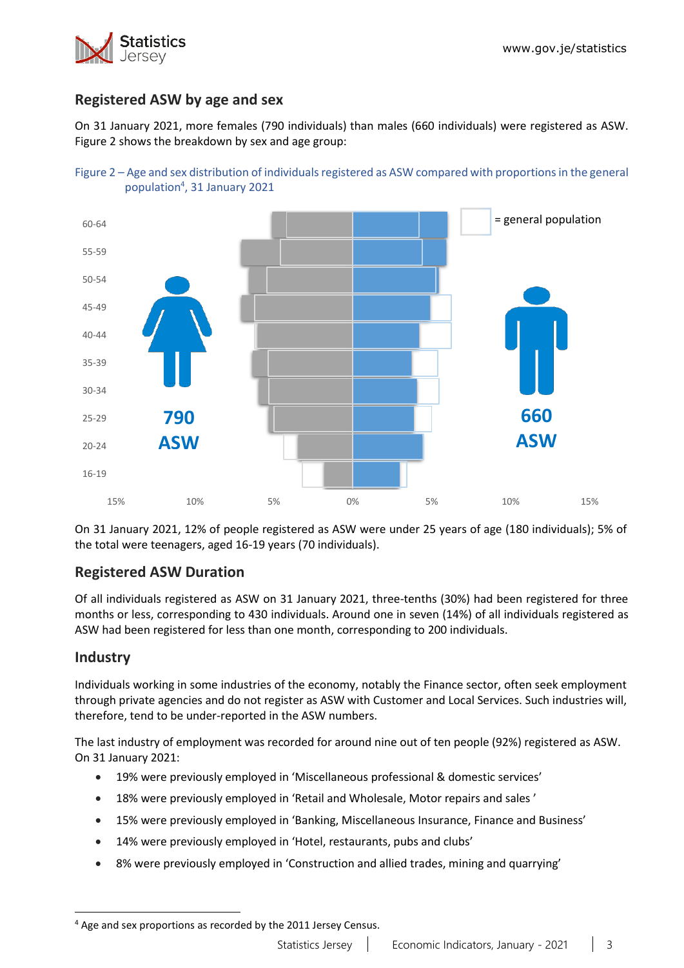

# **Registered ASW by age and sex**

On 31 January 2021, more females (790 individuals) than males (660 individuals) were registered as ASW. Figure 2 shows the breakdown by sex and age group:





On 31 January 2021, 12% of people registered as ASW were under 25 years of age (180 individuals); 5% of the total were teenagers, aged 16-19 years (70 individuals).

# **Registered ASW Duration**

Of all individuals registered as ASW on 31 January 2021, three-tenths (30%) had been registered for three months or less, corresponding to 430 individuals. Around one in seven (14%) of all individuals registered as ASW had been registered for less than one month, corresponding to 200 individuals.

## **Industry**

Individuals working in some industries of the economy, notably the Finance sector, often seek employment through private agencies and do not register as ASW with Customer and Local Services. Such industries will, therefore, tend to be under-reported in the ASW numbers.

The last industry of employment was recorded for around nine out of ten people (92%) registered as ASW. On 31 January 2021:

- 19% were previously employed in 'Miscellaneous professional & domestic services'
- 18% were previously employed in 'Retail and Wholesale, Motor repairs and sales '
- 15% were previously employed in 'Banking, Miscellaneous Insurance, Finance and Business'
- 14% were previously employed in 'Hotel, restaurants, pubs and clubs'
- 8% were previously employed in 'Construction and allied trades, mining and quarrying'

<sup>4</sup> Age and sex proportions as recorded by the 2011 Jersey Census.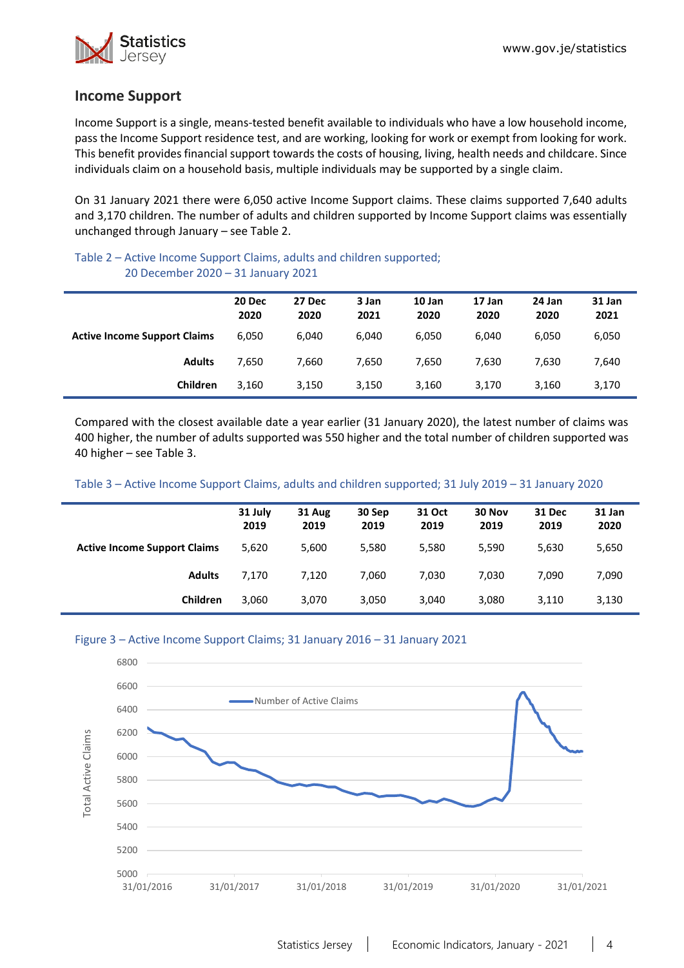

## **Income Support**

Income Support is a single, means-tested benefit available to individuals who have a low household income, pass the Income Support residence test, and are working, looking for work or exempt from looking for work. This benefit provides financial support towards the costs of housing, living, health needs and childcare. Since individuals claim on a household basis, multiple individuals may be supported by a single claim.

On 31 January 2021 there were 6,050 active Income Support claims. These claims supported 7,640 adults and 3,170 children. The number of adults and children supported by Income Support claims was essentially unchanged through January – see Table 2.

#### Table 2 – Active Income Support Claims, adults and children supported; 20 December 2020 – 31 January 2021

|                                     | 20 Dec<br>2020 | 27 Dec<br>2020 | 3 Jan<br>2021 | 10 Jan<br>2020 | 17 Jan<br>2020 | 24 Jan<br>2020 | 31 Jan<br>2021 |
|-------------------------------------|----------------|----------------|---------------|----------------|----------------|----------------|----------------|
| <b>Active Income Support Claims</b> | 6,050          | 6.040          | 6.040         | 6.050          | 6.040          | 6.050          | 6,050          |
| <b>Adults</b>                       | 7,650          | 7,660          | 7,650         | 7,650          | 7.630          | 7,630          | 7,640          |
| Children                            | 3.160          | 3,150          | 3,150         | 3,160          | 3,170          | 3,160          | 3,170          |

Compared with the closest available date a year earlier (31 January 2020), the latest number of claims was 400 higher, the number of adults supported was 550 higher and the total number of children supported was 40 higher – see Table 3.

#### Table 3 – Active Income Support Claims, adults and children supported; 31 July 2019 – 31 January 2020

|                                     | 31 July<br>2019 | 31 Aug<br>2019 | 30 Sep<br>2019 | 31 Oct<br>2019 | 30 Nov<br>2019 | <b>31 Dec</b><br>2019 | 31 Jan<br>2020 |
|-------------------------------------|-----------------|----------------|----------------|----------------|----------------|-----------------------|----------------|
| <b>Active Income Support Claims</b> | 5,620           | 5,600          | 5,580          | 5,580          | 5,590          | 5,630                 | 5,650          |
| <b>Adults</b>                       | 7.170           | 7.120          | 7,060          | 7,030          | 7,030          | 7.090                 | 7,090          |
| Children                            | 3,060           | 3,070          | 3,050          | 3,040          | 3,080          | 3,110                 | 3,130          |

#### Figure 3 – Active Income Support Claims; 31 January 2016 – 31 January 2021

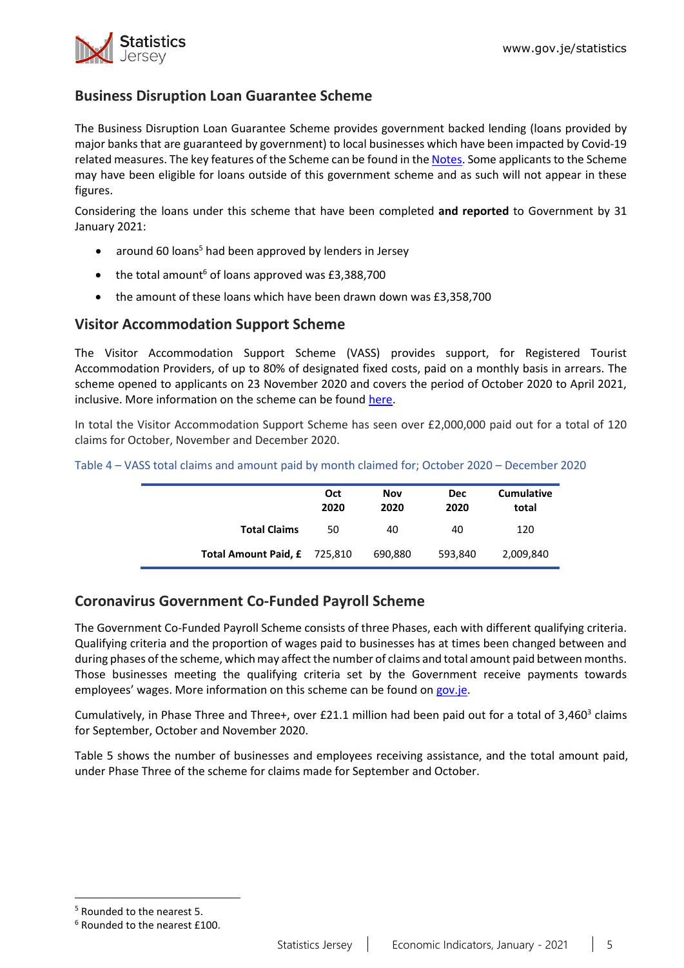

# **Business Disruption Loan Guarantee Scheme**

The Business Disruption Loan Guarantee Scheme provides government backed lending (loans provided by major banks that are guaranteed by government) to local businesses which have been impacted by Covid-19 related measures. The key features of the Scheme can be found in the [Notes.](#page-10-0) Some applicants to the Scheme may have been eligible for loans outside of this government scheme and as such will not appear in these figures.

Considering the loans under this scheme that have been completed **and reported** to Government by 31 January 2021:

- around 60 loans<sup>5</sup> had been approved by lenders in Jersey
- the total amount<sup>6</sup> of loans approved was  $£3,388,700$
- the amount of these loans which have been drawn down was £3,358,700

## **Visitor Accommodation Support Scheme**

The Visitor Accommodation Support Scheme (VASS) provides support, for Registered Tourist Accommodation Providers, of up to 80% of designated fixed costs, paid on a monthly basis in arrears. The scheme opened to applicants on 23 November 2020 and covers the period of October 2020 to April 2021, inclusive. More information on the scheme can be found [here.](https://www.gov.je/health/coronavirus/businessandemployment/pages/governmentsupportforbusinesses.aspx)

In total the Visitor Accommodation Support Scheme has seen over £2,000,000 paid out for a total of 120 claims for October, November and December 2020.

|                              | Oct<br>2020 | Nov<br>2020 | <b>Dec</b><br>2020 | <b>Cumulative</b><br>total |
|------------------------------|-------------|-------------|--------------------|----------------------------|
| <b>Total Claims</b>          | 50          | 40          | 40                 | 120                        |
| Total Amount Paid, £ 725,810 |             | 690,880     | 593,840            | 2,009,840                  |

Table 4 – VASS total claims and amount paid by month claimed for; October 2020 – December 2020

## **Coronavirus Government Co-Funded Payroll Scheme**

The Government Co-Funded Payroll Scheme consists of three Phases, each with different qualifying criteria. Qualifying criteria and the proportion of wages paid to businesses has at times been changed between and during phases of the scheme, which may affect the number of claims and total amount paid between months. Those businesses meeting the qualifying criteria set by the Government receive payments towards employees' wages. More information on this scheme can be found on [gov.je.](https://www.gov.je/health/coronavirus/businessandemployment/pages/governmentsupportforbusinesses.aspx)

Cumulatively, in Phase Three and Three+, over £21.1 million had been paid out for a total of 3,460<sup>3</sup> claims for September, October and November 2020.

Table 5 shows the number of businesses and employees receiving assistance, and the total amount paid, under Phase Three of the scheme for claims made for September and October.

<sup>5</sup> Rounded to the nearest 5.

<sup>6</sup> Rounded to the nearest £100.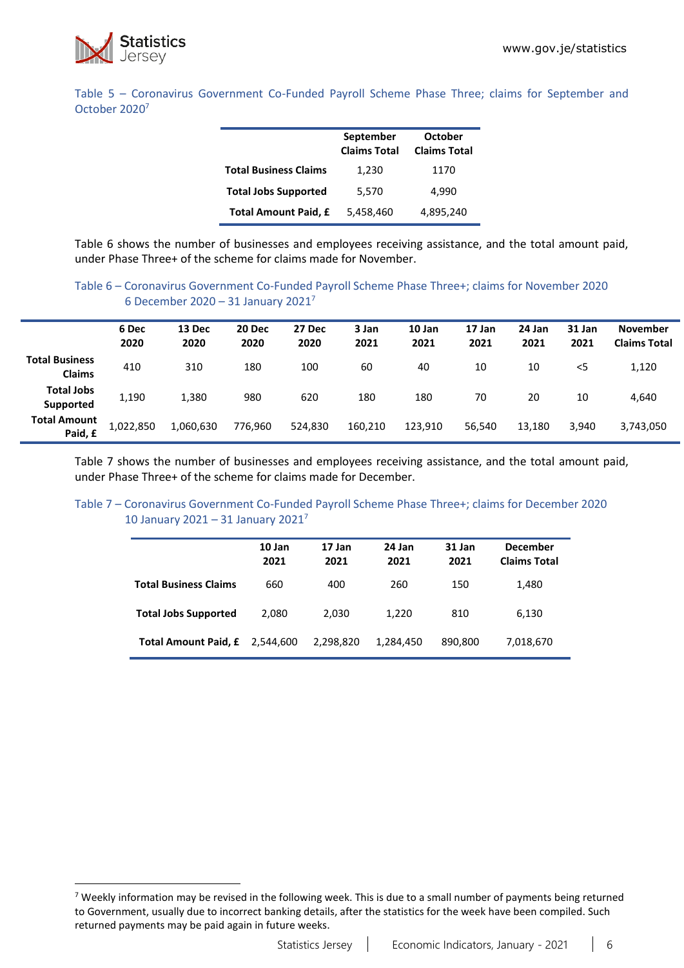

Table 5 – Coronavirus Government Co-Funded Payroll Scheme Phase Three; claims for September and October 2020<sup>7</sup>

|                              | September<br><b>Claims Total</b> | October<br><b>Claims Total</b> |
|------------------------------|----------------------------------|--------------------------------|
| <b>Total Business Claims</b> | 1,230                            | 1170                           |
| <b>Total Jobs Supported</b>  | 5,570                            | 4,990                          |
| <b>Total Amount Paid, £</b>  | 5,458,460                        | 4,895,240                      |

Table 6 shows the number of businesses and employees receiving assistance, and the total amount paid, under Phase Three+ of the scheme for claims made for November.

### Table 6 – Coronavirus Government Co-Funded Payroll Scheme Phase Three+; claims for November 2020 6 December 2020 – 31 January 2021<sup>7</sup>

|                                        | 6 Dec<br>2020 | 13 Dec<br>2020 | 20 Dec<br>2020 | 27 Dec<br>2020 | 3 Jan<br>2021 | 10 Jan<br>2021 | 17 Jan<br>2021 | 24 Jan<br>2021 | 31 Jan<br>2021 | <b>November</b><br><b>Claims Total</b> |
|----------------------------------------|---------------|----------------|----------------|----------------|---------------|----------------|----------------|----------------|----------------|----------------------------------------|
| <b>Total Business</b><br><b>Claims</b> | 410           | 310            | 180            | 100            | 60            | 40             | 10             | 10             | <5             | 1,120                                  |
| <b>Total Jobs</b><br>Supported         | 1,190         | 1,380          | 980            | 620            | 180           | 180            | 70             | 20             | 10             | 4,640                                  |
| <b>Total Amount</b><br>Paid, £         | 1,022,850     | 1,060,630      | 776,960        | 524,830        | 160,210       | 123,910        | 56,540         | 13,180         | 3,940          | 3,743,050                              |

Table 7 shows the number of businesses and employees receiving assistance, and the total amount paid, under Phase Three+ of the scheme for claims made for December.

#### Table 7 – Coronavirus Government Co-Funded Payroll Scheme Phase Three+; claims for December 2020 10 January 2021 – 31 January 2021<sup>7</sup>

|                              | 10 Jan<br>2021 | 17 Jan<br>2021 | 24 Jan<br>2021 | 31 Jan<br>2021 | <b>December</b><br><b>Claims Total</b> |
|------------------------------|----------------|----------------|----------------|----------------|----------------------------------------|
| <b>Total Business Claims</b> | 660            | 400            | 260            | 150            | 1,480                                  |
| <b>Total Jobs Supported</b>  | 2.080          | 2.030          | 1,220          | 810            | 6,130                                  |
| <b>Total Amount Paid, £</b>  | 2,544,600      | 2,298,820      | 1,284,450      | 890,800        | 7,018,670                              |

 $7$  Weekly information may be revised in the following week. This is due to a small number of payments being returned to Government, usually due to incorrect banking details, after the statistics for the week have been compiled. Such returned payments may be paid again in future weeks.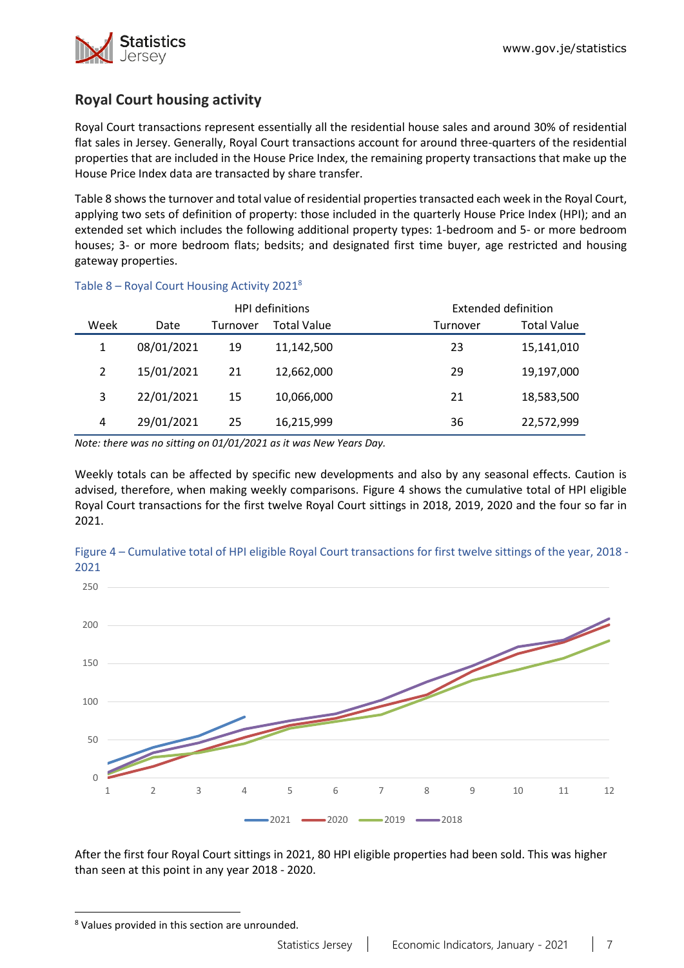

# **Royal Court housing activity**

Royal Court transactions represent essentially all the residential house sales and around 30% of residential flat sales in Jersey. Generally, Royal Court transactions account for around three-quarters of the residential properties that are included in the House Price Index, the remaining property transactions that make up the House Price Index data are transacted by share transfer.

Table 8 shows the turnover and total value of residential properties transacted each week in the Royal Court, applying two sets of definition of property: those included in the quarterly House Price Index (HPI); and an extended set which includes the following additional property types: 1-bedroom and 5- or more bedroom houses; 3- or more bedroom flats; bedsits; and designated first time buyer, age restricted and housing gateway properties.

|      |            |          | <b>HPI definitions</b> |          | Extended definition |
|------|------------|----------|------------------------|----------|---------------------|
| Week | Date       | Turnover | <b>Total Value</b>     | Turnover | <b>Total Value</b>  |
| 1    | 08/01/2021 | 19       | 11,142,500             | 23       | 15,141,010          |
| 2    | 15/01/2021 | 21       | 12,662,000             | 29       | 19,197,000          |
| 3    | 22/01/2021 | 15       | 10,066,000             | 21       | 18,583,500          |
| 4    | 29/01/2021 | 25       | 16,215,999             | 36       | 22,572,999          |

#### Table 8 – Royal Court Housing Activity 2021<sup>8</sup>

*Note: there was no sitting on 01/01/2021 as it was New Years Day.* 

Weekly totals can be affected by specific new developments and also by any seasonal effects. Caution is advised, therefore, when making weekly comparisons. Figure 4 shows the cumulative total of HPI eligible Royal Court transactions for the first twelve Royal Court sittings in 2018, 2019, 2020 and the four so far in 2021.



Figure 4 – Cumulative total of HPI eligible Royal Court transactions for first twelve sittings of the year, 2018 - 2021

After the first four Royal Court sittings in 2021, 80 HPI eligible properties had been sold. This was higher than seen at this point in any year 2018 - 2020.

<sup>8</sup> Values provided in this section are unrounded.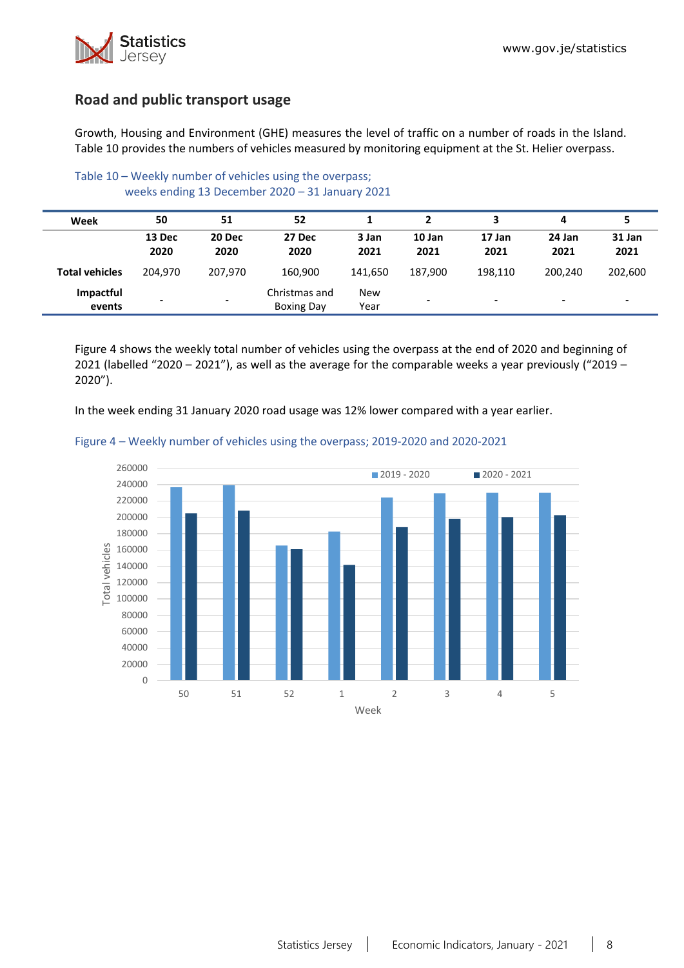

## **Road and public transport usage**

Growth, Housing and Environment (GHE) measures the level of traffic on a number of roads in the Island. Table 10 provides the numbers of vehicles measured by monitoring equipment at the St. Helier overpass.

| Week                  | 50                       | 51                       | 52                                 |                    |                          |                          | 4                        |                          |
|-----------------------|--------------------------|--------------------------|------------------------------------|--------------------|--------------------------|--------------------------|--------------------------|--------------------------|
|                       | 13 Dec<br>2020           | 20 Dec<br>2020           | 27 Dec<br>2020                     | 3 Jan<br>2021      | 10 Jan<br>2021           | 17 Jan<br>2021           | 24 Jan<br>2021           | 31 Jan<br>2021           |
| <b>Total vehicles</b> | 204.970                  | 207.970                  | 160.900                            | 141.650            | 187.900                  | 198,110                  | 200.240                  | 202,600                  |
| Impactful<br>events   | $\overline{\phantom{a}}$ | $\overline{\phantom{0}}$ | Christmas and<br><b>Boxing Day</b> | <b>New</b><br>Year | $\overline{\phantom{0}}$ | $\overline{\phantom{a}}$ | $\overline{\phantom{0}}$ | $\overline{\phantom{0}}$ |

Table 10 – Weekly number of vehicles using the overpass; weeks ending 13 December 2020 – 31 January 2021

Figure 4 shows the weekly total number of vehicles using the overpass at the end of 2020 and beginning of 2021 (labelled "2020 – 2021"), as well as the average for the comparable weeks a year previously ("2019 – 2020").

In the week ending 31 January 2020 road usage was 12% lower compared with a year earlier.



#### Figure 4 – Weekly number of vehicles using the overpass; 2019-2020 and 2020-2021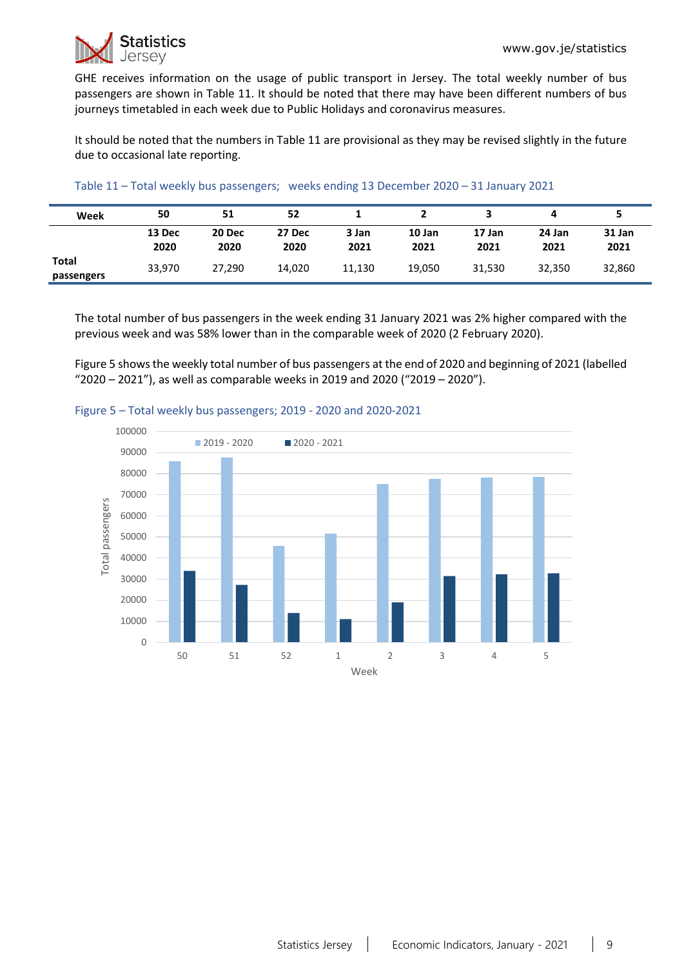GHE receives information on the usage of public transport in Jersey. The total weekly number of bus passengers are shown in Table 11. It should be noted that there may have been different numbers of bus journeys timetabled in each week due to Public Holidays and coronavirus measures.

It should be noted that the numbers in Table 11 are provisional as they may be revised slightly in the future due to occasional late reporting.

| Week                | 50             | 51             | 52             |               |                |                |                |                |
|---------------------|----------------|----------------|----------------|---------------|----------------|----------------|----------------|----------------|
|                     | 13 Dec<br>2020 | 20 Dec<br>2020 | 27 Dec<br>2020 | 3 Jan<br>2021 | 10 Jan<br>2021 | 17 Jan<br>2021 | 24 Jan<br>2021 | 31 Jan<br>2021 |
| Total<br>passengers | 33,970         | 27,290         | 14,020         | 11.130        | 19,050         | 31,530         | 32.350         | 32,860         |

The total number of bus passengers in the week ending 31 January 2021 was 2% higher compared with the previous week and was 58% lower than in the comparable week of 2020 (2 February 2020).

Figure 5 shows the weekly total number of bus passengers at the end of 2020 and beginning of 2021 (labelled "2020 – 2021"), as well as comparable weeks in 2019 and 2020 ("2019 – 2020").



#### Figure 5 – Total weekly bus passengers; 2019 - 2020 and 2020-2021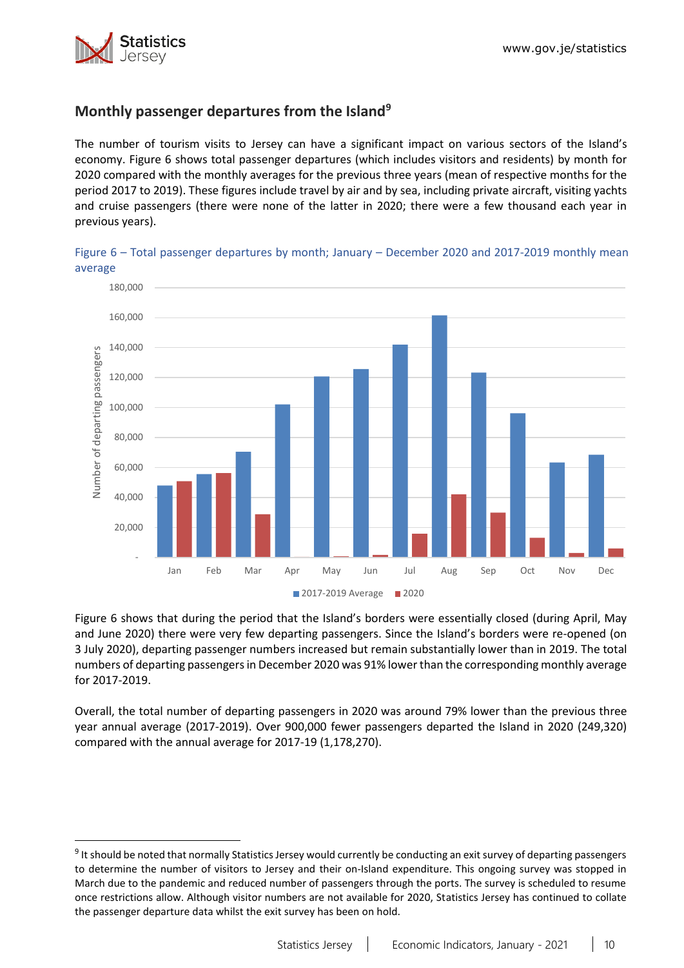

# **Monthly passenger departures from the Island<sup>9</sup>**

The number of tourism visits to Jersey can have a significant impact on various sectors of the Island's economy. Figure 6 shows total passenger departures (which includes visitors and residents) by month for 2020 compared with the monthly averages for the previous three years (mean of respective months for the period 2017 to 2019). These figures include travel by air and by sea, including private aircraft, visiting yachts and cruise passengers (there were none of the latter in 2020; there were a few thousand each year in previous years).



Figure 6 – Total passenger departures by month; January – December 2020 and 2017-2019 monthly mean average

Figure 6 shows that during the period that the Island's borders were essentially closed (during April, May and June 2020) there were very few departing passengers. Since the Island's borders were re-opened (on 3 July 2020), departing passenger numbers increased but remain substantially lower than in 2019. The total numbers of departing passengers in December 2020 was 91% lowerthan the corresponding monthly average for 2017-2019.

Overall, the total number of departing passengers in 2020 was around 79% lower than the previous three year annual average (2017-2019). Over 900,000 fewer passengers departed the Island in 2020 (249,320) compared with the annual average for 2017-19 (1,178,270).

<sup>&</sup>lt;sup>9</sup> It should be noted that normally Statistics Jersey would currently be conducting an exit survey of departing passengers to determine the number of visitors to Jersey and their on-Island expenditure. This ongoing survey was stopped in March due to the pandemic and reduced number of passengers through the ports. The survey is scheduled to resume once restrictions allow. Although visitor numbers are not available for 2020, Statistics Jersey has continued to collate the passenger departure data whilst the exit survey has been on hold.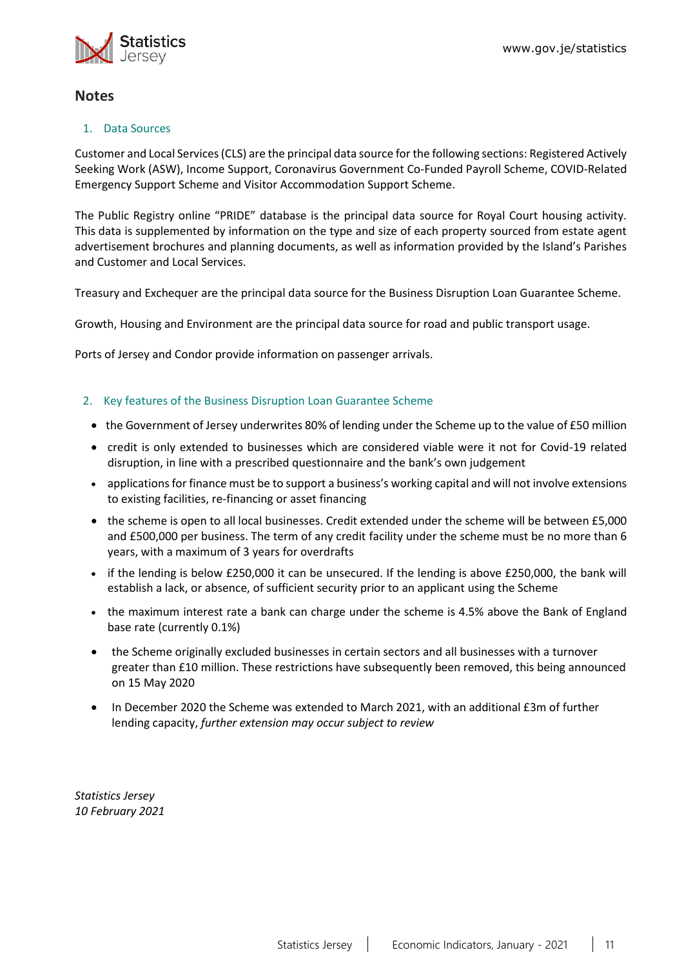

## **Notes**

### 1. Data Sources

Customer and Local Services (CLS) are the principal data source for the following sections: Registered Actively Seeking Work (ASW), Income Support, Coronavirus Government Co-Funded Payroll Scheme, COVID-Related Emergency Support Scheme and Visitor Accommodation Support Scheme.

The Public Registry online "PRIDE" database is the principal data source for Royal Court housing activity. This data is supplemented by information on the type and size of each property sourced from estate agent advertisement brochures and planning documents, as well as information provided by the Island's Parishes and Customer and Local Services.

Treasury and Exchequer are the principal data source for the Business Disruption Loan Guarantee Scheme.

Growth, Housing and Environment are the principal data source for road and public transport usage.

Ports of Jersey and Condor provide information on passenger arrivals.

#### <span id="page-10-0"></span>2. Key features of the Business Disruption Loan Guarantee Scheme

- the Government of Jersey underwrites 80% of lending under the Scheme up to the value of £50 million
- credit is only extended to businesses which are considered viable were it not for Covid-19 related disruption, in line with a prescribed questionnaire and the bank's own judgement
- applications for finance must be to support a business's working capital and will not involve extensions to existing facilities, re-financing or asset financing
- the scheme is open to all local businesses. Credit extended under the scheme will be between £5,000 and £500,000 per business. The term of any credit facility under the scheme must be no more than 6 years, with a maximum of 3 years for overdrafts
- if the lending is below £250,000 it can be unsecured. If the lending is above £250,000, the bank will establish a lack, or absence, of sufficient security prior to an applicant using the Scheme
- the maximum interest rate a bank can charge under the scheme is 4.5% above the Bank of England base rate (currently 0.1%)
- the Scheme originally excluded businesses in certain sectors and all businesses with a turnover greater than £10 million. These restrictions have subsequently been removed, this being announced on 15 May 2020
- In December 2020 the Scheme was extended to March 2021, with an additional £3m of further lending capacity, *further extension may occur subject to review*

*Statistics Jersey 10 February 2021*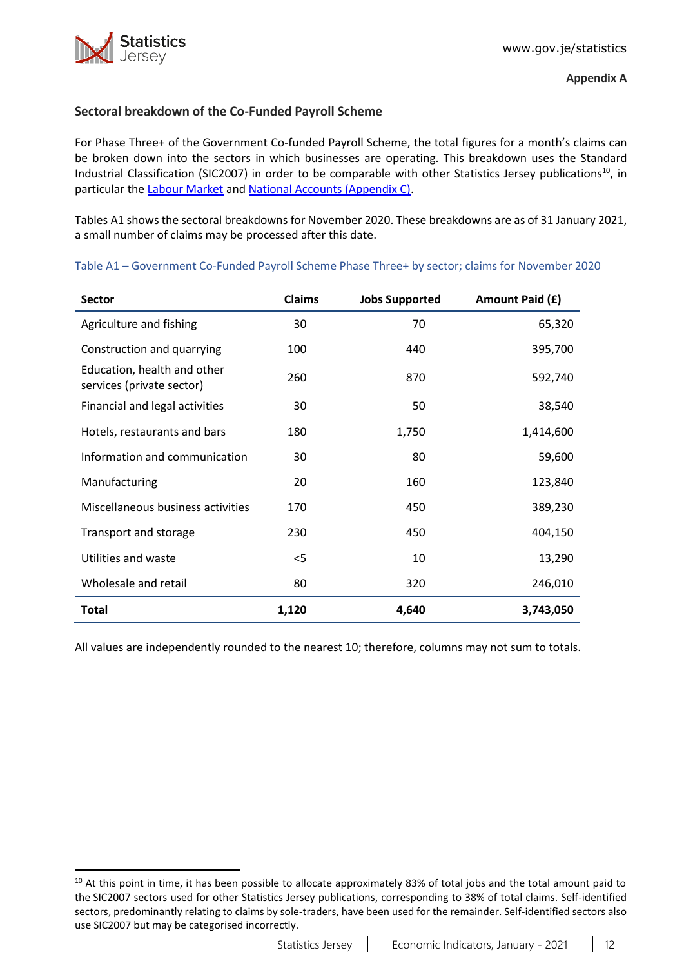## <span id="page-11-0"></span>**Sectoral breakdown of the Co-Funded Payroll Scheme**

For Phase Three+ of the Government Co-funded Payroll Scheme, the total figures for a month's claims can be broken down into the sectors in which businesses are operating. This breakdown uses the Standard Industrial Classification (SIC2007) in order to be comparable with other Statistics Jersey publications<sup>10</sup>, in particular the [Labour Market](https://www.gov.je/Government/JerseyInFigures/EmploymentEarnings/Pages/LabourMarket.aspx) and [National Accounts \(Appendix C\).](https://www.gov.je/SiteCollectionDocuments/Government%20and%20administration/R%20GVA%20and%20GDP%202018%2020191002%20SJ.pdf)

Tables A1 shows the sectoral breakdowns for November 2020. These breakdowns are as of 31 January 2021, a small number of claims may be processed after this date.

| <b>Sector</b>                                            | <b>Claims</b> | <b>Jobs Supported</b> | Amount Paid (£) |
|----------------------------------------------------------|---------------|-----------------------|-----------------|
| Agriculture and fishing                                  | 30            | 70                    | 65,320          |
| Construction and quarrying                               | 100           | 440                   | 395,700         |
| Education, health and other<br>services (private sector) | 260           | 870                   | 592,740         |
| Financial and legal activities                           | 30            | 50                    | 38,540          |
| Hotels, restaurants and bars                             | 180           | 1,750                 | 1,414,600       |
| Information and communication                            | 30            | 80                    | 59,600          |
| Manufacturing                                            | 20            | 160                   | 123,840         |
| Miscellaneous business activities                        | 170           | 450                   | 389,230         |
| Transport and storage                                    | 230           | 450                   | 404,150         |
| Utilities and waste                                      | $<$ 5         | 10                    | 13,290          |
| Wholesale and retail                                     | 80            | 320                   | 246,010         |
| <b>Total</b>                                             | 1,120         | 4,640                 | 3,743,050       |

Table A1 – Government Co-Funded Payroll Scheme Phase Three+ by sector; claims for November 2020

All values are independently rounded to the nearest 10; therefore, columns may not sum to totals.

<sup>&</sup>lt;sup>10</sup> At this point in time, it has been possible to allocate approximately 83% of total jobs and the total amount paid to the SIC2007 sectors used for other Statistics Jersey publications, corresponding to 38% of total claims. Self-identified sectors, predominantly relating to claims by sole-traders, have been used for the remainder. Self-identified sectors also use SIC2007 but may be categorised incorrectly.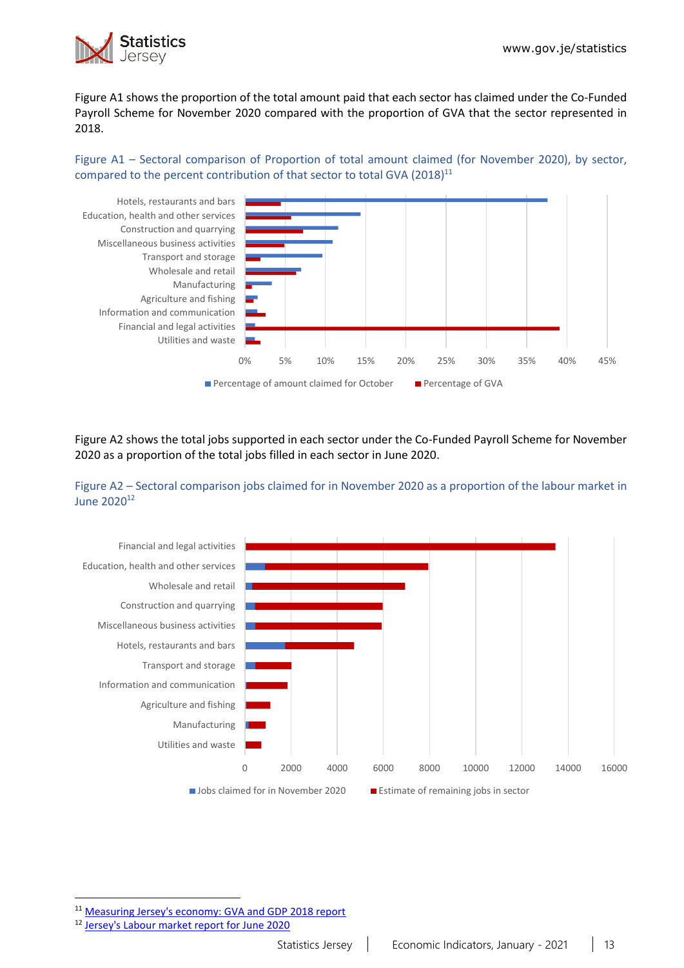

Figure A1 shows the proportion of the total amount paid that each sector has claimed under the Co-Funded Payroll Scheme for November 2020 compared with the proportion of GVA that the sector represented in 2018.

Figure A1 – Sectoral comparison of Proportion of total amount claimed (for November 2020), by sector, compared to the percent contribution of that sector to total GVA (2018)<sup>11</sup>



Figure A2 shows the total jobs supported in each sector under the Co-Funded Payroll Scheme for November 2020 as a proportion of the total jobs filled in each sector in June 2020.





11 [Measuring Jersey's economy: GVA and GDP 2018 report](https://www.gov.je/SiteCollectionDocuments/Government%20and%20administration/R%20GVA%20and%20GDP%202018%2020191002%20SJ.pdf)

<sup>12</sup> [Jersey's Labour market report for June 2020](https://www.gov.je/SiteCollectionDocuments/Government%20and%20administration/R%20Jersey%20Labour%20Market%20Jun%2020%2020201105%20SJ.pdf)